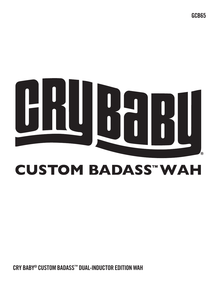**CRY BABY® CUSTOM BADASS™ DUAL-INDUCTOR EDITION WAH**

# **CUSTOM BADASS™WAH**



**GCB65**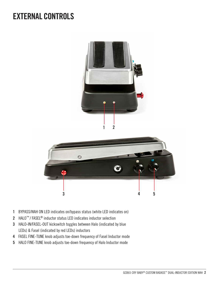## **EXTERNAL CONTROLS**





- BYPASS/WAH ON LED indicates on/bypass status (white LED indicates on)
- HALO™ / FASEL® inductor status LED indicates inductor selection
- HALO-IN/FASEL-OUT kickswitch toggles between Halo (indicated by blue LEDs) & Fasel (indicated by red LEDs) inductors
- FASEL FINE-TUNE knob adjusts toe-down frequency of Fasel Inductor mode
- HALO FINE-TUNE knob adjusts toe-down frequency of Halo Inductor mode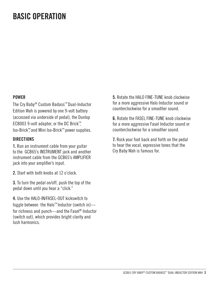## **BASIC OPERATION**

#### **POWER**

The Cry Baby® Custom Badass™ Dual-Inductor Edition Wah is powered by one 9-volt battery (accessed via underside of pedal), the Dunlop ECB003 9-volt adapter, or the DC Brick™, Iso-Brick™, and Mini Iso-Brick™ power supplies.

#### **DIRECTIONS**

**1.** Run an instrument cable from your guitar to the GCB65's INSTRUMENT jack and another instrument cable from the GCB65's AMPLIFIER jack into your amplifier's input.

**2.** Start with both knobs at 12 o'clock.

**3.** To turn the pedal on/off, push the top of the pedal down until you hear a "click."

**4.** Use the HALO-IN/FASEL-OUT kickswitch to toggle between the Halo™ Inductor (switch in) for richness and punch—and the Fasel® Inductor (switch out), which provides bright clarity and lush harmonics.

**5.** Rotate the HALO FINE-TUNE knob clockwise for a more aggressive Halo Inductor sound or counterclockwise for a smoother sound.

**6.** Rotate the FASEL FINE-TUNE knob clockwise for a more aggressive Fasel Inductor sound or counterclockwise for a smoother sound.

**7.** Rock your foot back and forth on the pedal to hear the vocal, expressive tones that the Cry Baby Wah is famous for.